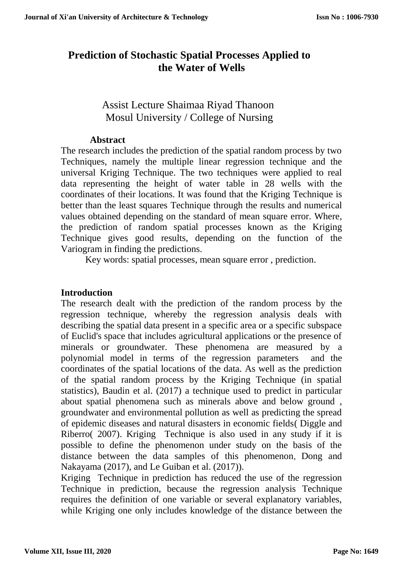# **Prediction of Stochastic Spatial Processes Applied to the Water of Wells**

## Assist Lecture Shaimaa Riyad Thanoon Mosul University / College of Nursing

#### **Abstract**

The research includes the prediction of the spatial random process by two Techniques, namely the multiple linear regression technique and the universal Kriging Technique. The two techniques were applied to real data representing the height of water table in 28 wells with the coordinates of their locations. It was found that the Kriging Technique is better than the least squares Technique through the results and numerical values obtained depending on the standard of mean square error. Where, the prediction of random spatial processes known as the Kriging Technique gives good results, depending on the function of the Variogram in finding the predictions.

Key words: spatial processes, mean square error , prediction.

## **Introduction**

The research dealt with the prediction of the random process by the regression technique, whereby the regression analysis deals with describing the spatial data present in a specific area or a specific subspace of Euclid's space that includes agricultural applications or the presence of minerals or groundwater. These phenomena are measured by a polynomial model in terms of the regression parameters and the coordinates of the spatial locations of the data. As well as the prediction of the spatial random process by the Kriging Technique (in spatial statistics), Baudin et al. (2017) a technique used to predict in particular about spatial phenomena such as minerals above and below ground , groundwater and environmental pollution as well as predicting the spread of epidemic diseases and natural disasters in economic fields( Diggle and Riberro( 2007). Kriging Technique is also used in any study if it is possible to define the phenomenon under study on the basis of the distance between the data samples of this phenomenon, Dong and Nakayama (2017), and Le Guiban et al. (2017)).

Kriging Technique in prediction has reduced the use of the regression Technique in prediction, because the regression analysis Technique requires the definition of one variable or several explanatory variables, while Kriging one only includes knowledge of the distance between the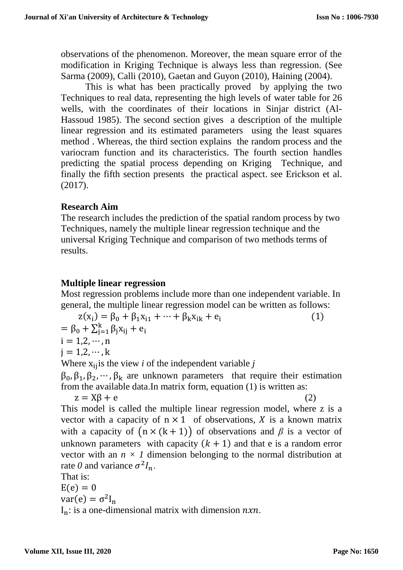observations of the phenomenon. Moreover, the mean square error of the modification in Kriging Technique is always less than regression. (See Sarma (2009), Calli (2010), Gaetan and Guyon (2010), Haining (2004).

This is what has been practically proved by applying the two Techniques to real data, representing the high levels of water table for 26 wells, with the coordinates of their locations in Sinjar district (Al-Hassoud 1985). The second section gives a description of the multiple linear regression and its estimated parameters using the least squares method . Whereas, the third section explains the random process and the variocram function and its characteristics. The fourth section handles predicting the spatial process depending on Kriging Technique, and finally the fifth section presents the practical aspect. see Erickson et al. (2017).

#### **Research Aim**

The research includes the prediction of the spatial random process by two Techniques, namely the multiple linear regression technique and the universal Kriging Technique and comparison of two methods terms of results.

### **Multiple linear regression**

Most regression problems include more than one independent variable. In general, the multiple linear regression model can be written as follows:

 $z(x_i) = \beta_0 + \beta_1 x_{i1} + \dots + \beta_k x_{ik} + e_i$  (1)  $= \beta_0 + \sum_{j=1}^{k} \beta_j x_{ij} + e_j$  $i = 1, 2, \dots, n$  $j = 1, 2, \dots, k$ Where  $x_{ij}$  is the view *i* of the independent variable *j* 

 $\beta_0$ ,  $\beta_1$ ,  $\beta_2$ ,  $\cdots$ ,  $\beta_k$  are unknown parameters that require their estimation from the available data.In matrix form, equation (1) is written as:

 $z = X\beta + e$  (2)

This model is called the multiple linear regression model, where z is a vector with a capacity of  $n \times 1$  of observations, X is a known matrix with a capacity of  $(n \times (k + 1))$  of observations and  $\beta$  is a vector of unknown parameters with capacity  $(k + 1)$  and that e is a random error vector with an  $n \times 1$  dimension belonging to the normal distribution at rate 0 and variance  $\sigma^2 I_n$ .

That is:

 $E(e) = 0$ 

$$
var(e) = \sigma^2 I_n
$$

 $I_n$ : is a one-dimensional matrix with dimension  $nxn$ .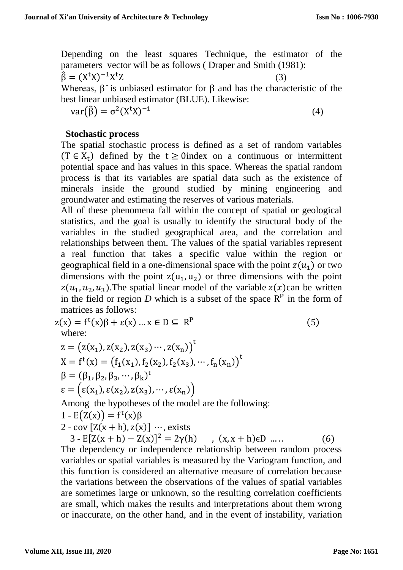Depending on the least squares Technique, the estimator of the parameters vector will be as follows ( Draper and Smith (1981):  $\hat{\beta} = (X^{\dagger}X)^{-1}X^{\dagger}Z$  (3) Whereas,  $\beta$  is unbiased estimator for  $\beta$  and has the characteristic of the best linear unbiased estimator (BLUE). Likewise:

$$
var(\hat{\beta}) = \sigma^2 (X^t X)^{-1}
$$
 (4)

#### **Stochastic process**

The spatial stochastic process is defined as a set of random variables  $(T \in X_t)$  defined by the  $t \ge 0$  index on a continuous or intermittent potential space and has values in this space. Whereas the spatial random process is that its variables are spatial data such as the existence of minerals inside the ground studied by mining engineering and groundwater and estimating the reserves of various materials.

All of these phenomena fall within the concept of spatial or geological statistics, and the goal is usually to identify the structural body of the variables in the studied geographical area, and the correlation and relationships between them. The values of the spatial variables represent a real function that takes a specific value within the region or geographical field in a one-dimensional space with the point  $z(u_1)$  or two dimensions with the point  $z(u_1, u_2)$  or three dimensions with the point  $z(u_1, u_2, u_3)$ . The spatial linear model of the variable  $z(x)$ can be written in the field or region  $D$  which is a subset of the space  $R<sup>P</sup>$  in the form of matrices as follows:

$$
z(x) = f^{t}(x)\beta + \varepsilon(x) ... x \in D \subseteq R^{P}
$$
  
\nwhere:  
\n
$$
z = (z(x_{1}), z(x_{2}), z(x_{3}) \cdots, z(x_{n}))^{t}
$$
\n
$$
X = f^{t}(x) = (f_{1}(x_{1}), f_{2}(x_{2}), f_{2}(x_{3}), \cdots, f_{n}(x_{n}))^{t}
$$
\n
$$
\beta = (\beta_{1}, \beta_{2}, \beta_{3}, \cdots, \beta_{k})^{t}
$$
\n
$$
\varepsilon = (\varepsilon(x_{1}), \varepsilon(x_{2}), z(x_{3}), \cdots, \varepsilon(x_{n}))
$$
\nAmong the hypotheses of the model are the following:

1 - 
$$
E(Z(x)) = f^t(x)\beta
$$

2 - cov 
$$
[Z(x+h),z(x)]
$$
 …, exists

 $3 - E[Z(x+h) - Z(x)]^2 = 2\gamma(h)$ ,  $(x, x+h) \in D$  .... (6)

The dependency or independence relationship between random process variables or spatial variables is measured by the Variogram function, and this function is considered an alternative measure of correlation because the variations between the observations of the values of spatial variables are sometimes large or unknown, so the resulting correlation coefficients are small, which makes the results and interpretations about them wrong or inaccurate, on the other hand, and in the event of instability, variation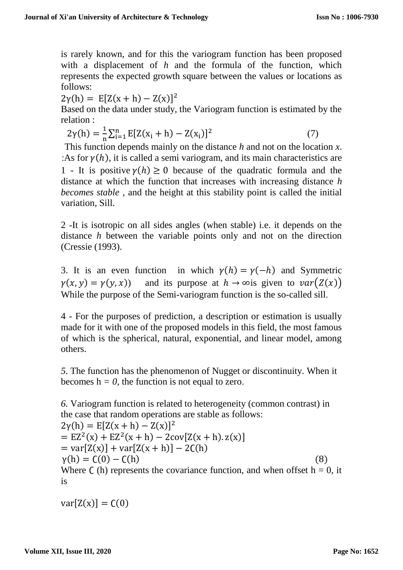is rarely known, and for this the variogram function has been proposed with a displacement of *h* and the formula of the function, which represents the expected growth square between the values or locations as follows:

 $2\gamma(h) = E[Z(x+h) - Z(x)]^2$ 

Based on the data under study, the Variogram function is estimated by the relation :

$$
2\gamma(h) = \frac{1}{n} \sum_{i=1}^{n} E[Z(x_i + h) - Z(x_i)]^2
$$
 (7)

This function depends mainly on the distance *h* and not on the location *x*. :As for  $\gamma(h)$ , it is called a semi variogram, and its main characteristics are 1 - It is positive  $\gamma(h) \ge 0$  because of the quadratic formula and the distance at which the function that increases with increasing distance *h becomes stable* , and the height at this stability point is called the initial variation, Sill.

2 -It is isotropic on all sides angles (when stable) i.e. it depends on the distance *h* between the variable points only and not on the direction (Cressie (1993).

3. It is an even function in which  $\gamma(h) = \gamma(-h)$  and Symmetric  $\gamma(x, y) = \gamma(y, x)$  and its purpose at  $h \to \infty$  given to  $var(Z(x))$ While the purpose of the Semi-variogram function is the so-called sill.

4 - For the purposes of prediction, a description or estimation is usually made for it with one of the proposed models in this field, the most famous of which is the spherical, natural, exponential, and linear model, among others.

*5.* The function has the phenomenon of Nugget or discontinuity. When it becomes  $h = 0$ , the function is not equal to zero.

*6.* Variogram function is related to heterogeneity (common contrast) in the case that random operations are stable as follows:

 $2\gamma(h) = E[Z(x+h) - Z(x)]^2$  $=$   $EZ^{2}(x) + EZ^{2}(x+h) - 2cov[Z(x+h).z(x)]$  $= \text{var}[Z(x)] + \text{var}[Z(x+h)] - 2C(h)$  $\gamma(h) = C(0) - C(h)$  (8) Where  $\Gamma$  (h) represents the covariance function, and when offset h = 0, it is

 $var[Z(x)] = C(0)$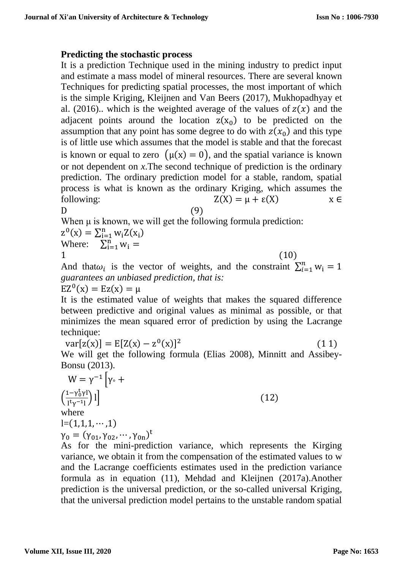#### **Predicting the stochastic process**

It is a prediction Technique used in the mining industry to predict input and estimate a mass model of mineral resources. There are several known Techniques for predicting spatial processes, the most important of which is the simple Kriging, Kleijnen and Van Beers (2017), Mukhopadhyay et al. (2016).. which is the weighted average of the values of  $z(x)$  and the adjacent points around the location  $z(x_0)$  to be predicted on the assumption that any point has some degree to do with  $z(x_0)$  and this type is of little use which assumes that the model is stable and that the forecast is known or equal to zero  $(\mu(x) = 0)$ , and the spatial variance is known or not dependent on *x*.The second technique of prediction is the ordinary prediction. The ordinary prediction model for a stable, random, spatial process is what is known as the ordinary Kriging, which assumes the following:  $Z(X) = \mu + \varepsilon(X)$   $X \in$  $D$  (9)

$$
^{(9)}
$$

When μ is known, we will get the following formula prediction:

$$
z^{0}(x) = \sum_{i=1}^{n} w_{i} Z(x_{i})
$$
  
Where: 
$$
\sum_{i=1}^{n} w_{i} =
$$

 $=$ 

 $1 \t(10)$ And that $\omega_i$  is the vector of weights, and the constraint  $\sum_{i=1}^n w_i = 1$ *guarantees an unbiased prediction, that is:*

 $EZ<sup>0</sup>(x) = Ez(x) = \mu$ 

It is the estimated value of weights that makes the squared difference between predictive and original values as minimal as possible, or that minimizes the mean squared error of prediction by using the Lacrange technique:

 $var[z(x)] = E[Z(x) - z^0(x)]^2$  (1 1)  $(11)$ We will get the following formula (Elias 2008), Minnitt and Assibey-Bonsu (2013).

$$
W = \gamma^{-1} \left[ \gamma \cdot +
$$
  
\n
$$
\left( \frac{1 - \gamma_0^t \gamma l}{1^t \gamma^{-1} l} \right) l \right]
$$
  
\nwhere  
\n
$$
l = (1, 1, 1, \dots, 1)
$$
  
\n
$$
\gamma_0 = (\gamma_{01}, \gamma_{02}, \dots, \gamma_{0n})^t
$$
 (12)

As for the mini-prediction variance, which represents the Kirging variance, we obtain it from the compensation of the estimated values to w and the Lacrange coefficients estimates used in the prediction variance formula as in equation (11), Mehdad and Kleijnen (2017a).Another prediction is the universal prediction, or the so-called universal Kriging, that the universal prediction model pertains to the unstable random spatial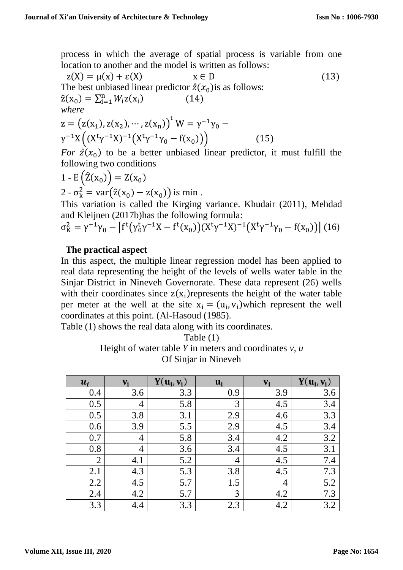process in which the average of spatial process is variable from one location to another and the model is written as follows:

$$
z(X) = \mu(x) + \varepsilon(X) \qquad x \in D
$$
\nThe best unbiased linear predictor  $\hat{z}(x_0)$  is as follows:  
\n
$$
\hat{z}(x_0) = \sum_{i=1}^{n} W_i z(x_i)
$$
\n
$$
(14)
$$
\nwhere  
\n
$$
z = (z(x_1), z(x_2), \dots, z(x_n))^t W = \gamma^{-1} \gamma_0 - \gamma^{-1} X ((X^t \gamma^{-1} X)^{-1} (X^t \gamma^{-1} \gamma_0 - f(x_0)))
$$
\n
$$
(15)
$$

For  $\hat{z}(x_0)$  to be a better unbiased linear predictor, it must fulfill the following two conditions

$$
1 - E\left(\hat{Z}(x_0)\right) = Z(x_0)
$$
  
2 -  $\sigma_k^2 = \text{var}(\hat{z}(x_0) - z(x_0))$  is min.

This variation is called the Kirging variance. Khudair (2011), Mehdad and Kleijnen (2017b)has the following formula:

$$
\sigma_K^2 = \gamma^{-1} \gamma_0 - \left[ f^t \left( \gamma_0^t \gamma^{-1} X - f^t(x_0) \right) (X^t \gamma^{-1} X)^{-1} \left( X^t \gamma^{-1} \gamma_0 - f(x_0) \right) \right] (16)
$$

#### **The practical aspect**

In this aspect, the multiple linear regression model has been applied to real data representing the height of the levels of wells water table in the Sinjar District in Nineveh Governorate. These data represent (26) wells with their coordinates since  $z(x_i)$  represents the height of the water table per meter at the well at the site  $x_i = (u_i, v_i)$  which represent the well coordinates at this point. (Al-Hasoud (1985).

Table (1) shows the real data along with its coordinates.

Table (1) Height of water table *Y* in meters and coordinates *v, u* Of Sinjar in Nineveh

| $\mathbf{u}_i$ |     | $Y(u_i, v_i)$ | $\mathbf{u_i}$ | $\mathbf{V}$ | $Y(u_i, v_i)$ |
|----------------|-----|---------------|----------------|--------------|---------------|
| 0.4            | 3.6 | 3.3           | 0.9            | 3.9          | 3.6           |
| 0.5            | 4   | 5.8           | 3              | 4.5          | 3.4           |
| 0.5            | 3.8 | 3.1           | 2.9            | 4.6          | 3.3           |
| 0.6            | 3.9 | 5.5           | 2.9            | 4.5          | 3.4           |
| 0.7            | 4   | 5.8           | 3.4            | 4.2          | 3.2           |
| 0.8            | 4   | 3.6           | 3.4            | 4.5          | 3.1           |
| $\overline{2}$ | 4.1 | 5.2           | 4              | 4.5          | 7.4           |
| 2.1            | 4.3 | 5.3           | 3.8            | 4.5          | 7.3           |
| 2.2            | 4.5 | 5.7           | 1.5            | 4            | 5.2           |
| 2.4            | 4.2 | 5.7           | 3              | 4.2          | 7.3           |
| 3.3            | 4.4 | 3.3           | 2.3            | 4.2          | 3.2           |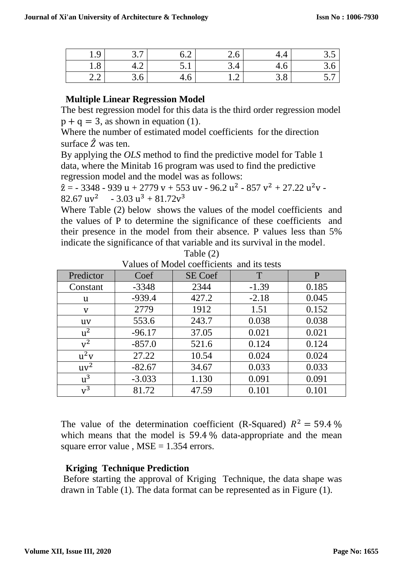| $\Omega$<br>◡<br>ュ.ノ                         | $\overline{\phantom{0}}$<br>$\sim$<br><u>.</u> | ⌒<br>◡.∠                                 | ້⊷                                             |     | $\cup \, \cdot \cup$          |
|----------------------------------------------|------------------------------------------------|------------------------------------------|------------------------------------------------|-----|-------------------------------|
| $\circ$<br>1.0                               | ┱.∠                                            | $\boldsymbol{\mathsf{u}}\cdot\mathbf{r}$ | ັບ ∙                                           | т.∪ | $\cup \, \cdot \, \cup$       |
| $\sim$<br>$\sim$<br>$\overline{\phantom{a}}$ | $\cup \cdot \cup$                              | ᠇.∪                                      | $\rightarrow$<br>$\mathbf{1} \cdot \mathbf{2}$ | J.O | $\overline{\phantom{0}}$<br>ັ |

## **Multiple Linear Regression Model**

The best regression model for this data is the third order regression model  $p + q = 3$ , as shown in equation (1).

Where the number of estimated model coefficients for the direction surface  $\hat{Z}$  was ten.

By applying the *OLS* method to find the predictive model for Table 1 data, where the Minitab 16 program was used to find the predictive regression model and the model was as follows:

 $\hat{z}$  = - 3348 - 939 u + 2779 v + 553 uv - 96.2 u<sup>2</sup> - 857 v<sup>2</sup> + 27.22 u<sup>2</sup> v -82.67 uv<sup>2</sup> - 3.03 u<sup>3</sup> + 81.72v<sup>3</sup>

Where Table (2) below shows the values of the model coefficients and the values of P to determine the significance of these coefficients and their presence in the model from their absence. P values less than 5% indicate the significance of that variable and its survival in the model.

| Predictor | Coef     | <u>t anico of higher cochreticum and ho legio</u><br><b>SE Coef</b> | T       | P     |
|-----------|----------|---------------------------------------------------------------------|---------|-------|
|           |          | 2344                                                                | $-1.39$ | 0.185 |
| Constant  | $-3348$  |                                                                     |         |       |
| u         | $-939.4$ | 427.2                                                               | $-2.18$ | 0.045 |
| V         | 2779     | 1912                                                                | 1.51    | 0.152 |
| <b>uv</b> | 553.6    | 243.7                                                               | 0.038   | 0.038 |
| $u^2$     | $-96.17$ | 37.05                                                               | 0.021   | 0.021 |
| $v^2$     | $-857.0$ | 521.6                                                               | 0.124   | 0.124 |
| $u^2v$    | 27.22    | 10.54                                                               | 0.024   | 0.024 |
| $uv^2$    | $-82.67$ | 34.67                                                               | 0.033   | 0.033 |
| $u^3$     | $-3.033$ | 1.130                                                               | 0.091   | 0.091 |
| $v^3$     | 81.72    | 47.59                                                               | 0.101   | 0.101 |

Table (2) Values of Model coefficients and its tests

The value of the determination coefficient (R-Squared)  $R^2 = 59.4\%$ which means that the model is 59.4 % data-appropriate and the mean square error value,  $MSE = 1.354$  errors.

## **Kriging Technique Prediction**

Before starting the approval of Kriging Technique, the data shape was drawn in Table (1). The data format can be represented as in Figure (1)*.*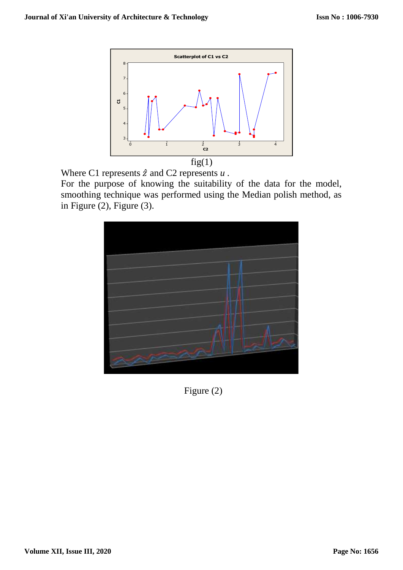

Where C1 represents  $\hat{z}$  and C2 represents  $u$ .

For the purpose of knowing the suitability of the data for the model, smoothing technique was performed using the Median polish method, as in Figure  $(2)$ , Figure  $(3)$ .



Figure (2)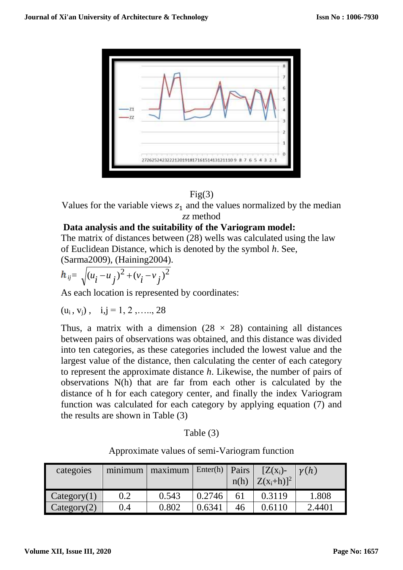

## $Fig(3)$

Values for the variable views  $z_1$  and the values normalized by the median *zz* method

#### **Data analysis and the suitability of the Variogram model:**

The matrix of distances between (28) wells was calculated using the law of Euclidean Distance, which is denoted by the symbol *h*. See,

(Sarma2009), (Haining2004).

$$
h_{ij} = \sqrt{(u_i - u_j)^2 + (v_i - v_j)^2}
$$

As each location is represented by coordinates:

 $(u_i, v_j), \quad i,j = 1, 2, \ldots, 28$ 

Thus, a matrix with a dimension  $(28 \times 28)$  containing all distances between pairs of observations was obtained, and this distance was divided into ten categories, as these categories included the lowest value and the largest value of the distance, then calculating the center of each category to represent the approximate distance *h*. Likewise, the number of pairs of observations N(h) that are far from each other is calculated by the distance of h for each category center, and finally the index Variogram function was calculated for each category by applying equation (7) and the results are shown in Table (3)

| Table (3` |  |
|-----------|--|
|           |  |

Approximate values of semi-Variogram function

| categoies   | minimum | maximum | Enter(h) | Pairs<br>n(h) | $[Z(x_i)-$<br>$ Z(x_i+h) ^2$ | $\nu(h)$ |
|-------------|---------|---------|----------|---------------|------------------------------|----------|
| Category(1) | 0.2     | 0.543   | 0.2746   | 61            | 0.3119                       | 1.808    |
| Category(2) | 9.4     | 0.802   | 0.6341   | 46            | ገ 6110                       | 2.4401   |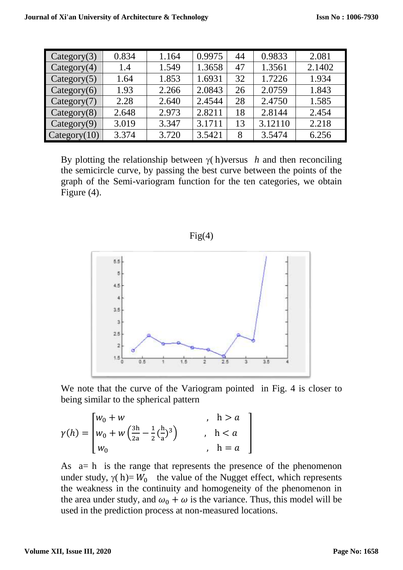| Category(3)  | 0.834 | 1.164 | 0.9975 | 44 | 0.9833  | 2.081  |
|--------------|-------|-------|--------|----|---------|--------|
| Category(4)  | 1.4   | 1.549 | 1.3658 | 47 | 1.3561  | 2.1402 |
| Category(5)  | 1.64  | 1.853 | 1.6931 | 32 | 1.7226  | 1.934  |
| Category(6)  | 1.93  | 2.266 | 2.0843 | 26 | 2.0759  | 1.843  |
| Category(7)  | 2.28  | 2.640 | 2.4544 | 28 | 2.4750  | 1.585  |
| Category(8)  | 2.648 | 2.973 | 2.8211 | 18 | 2.8144  | 2.454  |
| Category(9)  | 3.019 | 3.347 | 3.1711 | 13 | 3.12110 | 2.218  |
| Category(10) | 3.374 | 3.720 | 3.5421 | 8  | 3.5474  | 6.256  |

By plotting the relationship between  $\gamma$  h)versus *h* and then reconciling the semicircle curve, by passing the best curve between the points of the graph of the Semi-variogram function for the ten categories, we obtain Figure (4).

 $Fig(4)$ 



We note that the curve of the Variogram pointed in Fig. 4 is closer to being similar to the spherical pattern

$$
\gamma(h) = \begin{bmatrix} w_0 + w & , & h > a \\ w_0 + w \left( \frac{3h}{2a} - \frac{1}{2} \left( \frac{h}{a} \right)^3 \right) & , & h < a \\ w_0 & , & h = a \end{bmatrix}
$$

As a= h is the range that represents the presence of the phenomenon under study,  $\gamma(h)= W_0$  the value of the Nugget effect, which represents the weakness in the continuity and homogeneity of the phenomenon in the area under study, and  $\omega_0 + \omega$  is the variance. Thus, this model will be used in the prediction process at non-measured locations.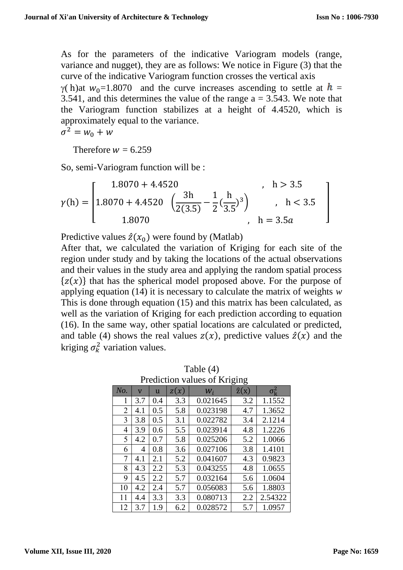As for the parameters of the indicative Variogram models (range, variance and nugget), they are as follows: We notice in Figure (3) that the curve of the indicative Variogram function crosses the vertical axis  $\gamma$ ( h)at  $w_0$ =1.8070 and the curve increases ascending to settle at  $h =$ 3.541, and this determines the value of the range  $a = 3.543$ . We note that the Variogram function stabilizes at a height of 4.4520, which is approximately equal to the variance.

 $\sigma^2 = w_0 + w$ 

Therefore  $w = 6.259$ 

So, semi-Variogram function will be :

$$
\gamma(h) = \begin{bmatrix} 1.8070 + 4.4520 & , & h > 3.5 \\ 1.8070 + 4.4520 & \left(\frac{3h}{2(3.5)} - \frac{1}{2} \left(\frac{h}{3.5}\right)^3\right) & , & h < 3.5 \\ 1.8070 & , & h = 3.5a \end{bmatrix}
$$

Predictive values  $\hat{z}(x_0)$  were found by (Matlab)

After that, we calculated the variation of Kriging for each site of the region under study and by taking the locations of the actual observations and their values in the study area and applying the random spatial process  $\{z(x)\}\$  that has the spherical model proposed above. For the purpose of applying equation (14) it is necessary to calculate the matrix of weights *w* This is done through equation (15) and this matrix has been calculated, as well as the variation of Kriging for each prediction according to equation (16). In the same way, other spatial locations are calculated or predicted, and table (4) shows the real values  $z(x)$ , predictive values  $\hat{z}(x)$  and the kriging  $\sigma_k^2$  variation values.

| Prediction values of Kriging |                         |     |      |          |              |                    |  |  |
|------------------------------|-------------------------|-----|------|----------|--------------|--------------------|--|--|
| No.                          | $\overline{\mathsf{V}}$ | u   | z(x) | $W_i$    | $\hat{z}(x)$ | $\sigma_{\rm k}^2$ |  |  |
| 1                            | 3.7                     | 0.4 | 3.3  | 0.021645 | 3.2          | 1.1552             |  |  |
| 2                            | 4.1                     | 0.5 | 5.8  | 0.023198 | 4.7          | 1.3652             |  |  |
| 3                            | 3.8                     | 0.5 | 3.1  | 0.022782 | 3.4          | 2.1214             |  |  |
| 4                            | 3.9                     | 0.6 | 5.5  | 0.023914 | 4.8          | 1.2226             |  |  |
| 5                            | 4.2                     | 0.7 | 5.8  | 0.025206 | 5.2          | 1.0066             |  |  |
| 6                            | 4                       | 0.8 | 3.6  | 0.027106 | 3.8          | 1.4101             |  |  |
| 7                            | 4.1                     | 2.1 | 5.2  | 0.041607 | 4.3          | 0.9823             |  |  |
| 8                            | 4.3                     | 2.2 | 5.3  | 0.043255 | 4.8          | 1.0655             |  |  |
| 9                            | 4.5                     | 2.2 | 5.7  | 0.032164 | 5.6          | 1.0604             |  |  |
| 10                           | 4.2                     | 2.4 | 5.7  | 0.056083 | 5.6          | 1.8803             |  |  |
| 11                           | 4.4                     | 3.3 | 3.3  | 0.080713 | 2.2          | 2.54322            |  |  |
| 12                           | 3.7                     | 1.9 | 6.2  | 0.028572 | 5.7          | 1.0957             |  |  |

Prediction values of Kriging

Table (4)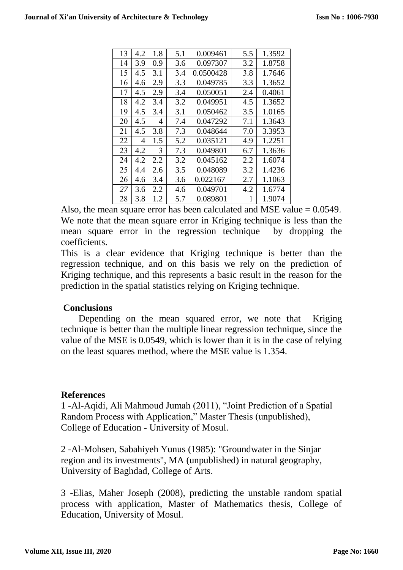| 13 | 4.2 | 1.8 | 5.1 | 0.009461  | 5.5 | 1.3592 |
|----|-----|-----|-----|-----------|-----|--------|
| 14 | 3.9 | 0.9 | 3.6 | 0.097307  | 3.2 | 1.8758 |
| 15 | 4.5 | 3.1 | 3.4 | 0.0500428 | 3.8 | 1.7646 |
| 16 | 4.6 | 2.9 | 3.3 | 0.049785  | 3.3 | 1.3652 |
| 17 | 4.5 | 2.9 | 3.4 | 0.050051  | 2.4 | 0.4061 |
| 18 | 4.2 | 3.4 | 3.2 | 0.049951  | 4.5 | 1.3652 |
| 19 | 4.5 | 3.4 | 3.1 | 0.050462  | 3.5 | 1.0165 |
| 20 | 4.5 | 4   | 7.4 | 0.047292  | 7.1 | 1.3643 |
| 21 | 4.5 | 3.8 | 7.3 | 0.048644  | 7.0 | 3.3953 |
| 22 | 4   | 1.5 | 5.2 | 0.035121  | 4.9 | 1.2251 |
| 23 | 4.2 | 3   | 7.3 | 0.049801  | 6.7 | 1.3636 |
| 24 | 4.2 | 2.2 | 3.2 | 0.045162  | 2.2 | 1.6074 |
| 25 | 4.4 | 2.6 | 3.5 | 0.048089  | 3.2 | 1.4236 |
| 26 | 4.6 | 3.4 | 3.6 | 0.022167  | 2.7 | 1.1063 |
| 27 | 3.6 | 2.2 | 4.6 | 0.049701  | 4.2 | 1.6774 |
| 28 | 3.8 | 1.2 | 5.7 | 0.089801  | 1   | 1.9074 |

Also, the mean square error has been calculated and MSE value = 0.0549. We note that the mean square error in Kriging technique is less than the mean square error in the regression technique by dropping the coefficients.

This is a clear evidence that Kriging technique is better than the regression technique, and on this basis we rely on the prediction of Kriging technique, and this represents a basic result in the reason for the prediction in the spatial statistics relying on Kriging technique.

## **Conclusions**

Depending on the mean squared error, we note that Kriging technique is better than the multiple linear regression technique, since the value of the MSE is 0.0549, which is lower than it is in the case of relying on the least squares method, where the MSE value is 1.354.

#### **References**

1 -Al-Aqidi, Ali Mahmoud Jumah (2011), "Joint Prediction of a Spatial Random Process with Application," Master Thesis (unpublished), College of Education - University of Mosul.

2 -Al-Mohsen, Sabahiyeh Yunus (1985): "Groundwater in the Sinjar region and its investments", MA (unpublished) in natural geography, University of Baghdad, College of Arts.

3 -Elias, Maher Joseph (2008), predicting the unstable random spatial process with application, Master of Mathematics thesis, College of Education, University of Mosul.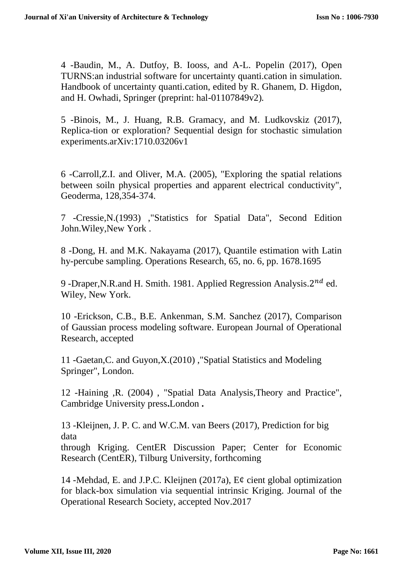4 -Baudin, M., A. Dutfoy, B. Iooss, and A-L. Popelin (2017), Open TURNS:an industrial software for uncertainty quanti.cation in simulation. Handbook of uncertainty quanti.cation, edited by R. Ghanem, D. Higdon, and H. Owhadi, Springer (preprint: hal-01107849v2)*.*

5 -Binois, M., J. Huang, R.B. Gramacy, and M. Ludkovskiz (2017), Replica-tion or exploration? Sequential design for stochastic simulation experiments.arXiv:1710.03206v1

6 -Carroll,Z.I. and Oliver, M.A. (2005), "Exploring the spatial relations between soiln physical properties and apparent electrical conductivity", Geoderma, 128,354-374.

7 -Cressie,N.(1993) ,"Statistics for Spatial Data", Second Edition John.Wiley,New York .

8 -Dong, H. and M.K. Nakayama (2017), Quantile estimation with Latin hy-percube sampling. Operations Research, 65, no. 6, pp. 1678.1695

9 -Draper, N.R.and H. Smith. 1981. Applied Regression Analysis.  $2^{nd}$  ed. Wiley, New York.

10 -Erickson, C.B., B.E. Ankenman, S.M. Sanchez (2017), Comparison of Gaussian process modeling software. European Journal of Operational Research, accepted

11 -Gaetan,C. and Guyon,X.(2010) ,"Spatial Statistics and Modeling Springer", London.

12 -Haining ,R. (2004) , "Spatial Data Analysis,Theory and Practice", Cambridge University press**.**London **.**

13 -Kleijnen, J. P. C. and W.C.M. van Beers (2017), Prediction for big data

through Kriging. CentER Discussion Paper; Center for Economic Research (CentER), Tilburg University, forthcoming

14 -Mehdad, E. and J.P.C. Kleijnen (2017a), E¢ cient global optimization for black-box simulation via sequential intrinsic Kriging. Journal of the Operational Research Society, accepted Nov.2017